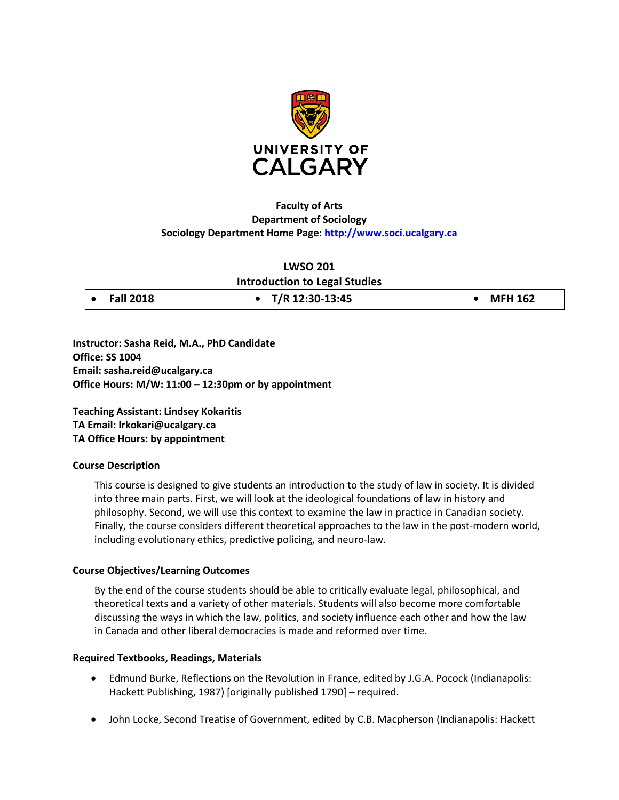

# **Faculty of Arts Department of Sociology Sociology Department Home Page: [http://www.soci.ucalgary.ca](http://www.soci.ucalgary.ca/)**

## **LWSO 201**

**Introduction to Legal Studies**

|  | <b>Fall 2018</b> |
|--|------------------|
|  |                  |

• **Fall 2018 • T/R 12:30-13:45 • MFH 162**

**Instructor: Sasha Reid, M.A., PhD Candidate Office: SS 1004 Email: sasha.reid@ucalgary.ca Office Hours: M/W: 11:00 – 12:30pm or by appointment**

**Teaching Assistant: Lindsey Kokaritis TA Email: lrkokari@ucalgary.ca TA Office Hours: by appointment** 

## **Course Description**

This course is designed to give students an introduction to the study of law in society. It is divided into three main parts. First, we will look at the ideological foundations of law in history and philosophy. Second, we will use this context to examine the law in practice in Canadian society. Finally, the course considers different theoretical approaches to the law in the post-modern world, including evolutionary ethics, predictive policing, and neuro-law.

## **Course Objectives/Learning Outcomes**

By the end of the course students should be able to critically evaluate legal, philosophical, and theoretical texts and a variety of other materials. Students will also become more comfortable discussing the ways in which the law, politics, and society influence each other and how the law in Canada and other liberal democracies is made and reformed over time.

## **Required Textbooks, Readings, Materials**

- Edmund Burke, Reflections on the Revolution in France, edited by J.G.A. Pocock (Indianapolis: Hackett Publishing, 1987) [originally published 1790] – required.
- John Locke, Second Treatise of Government, edited by C.B. Macpherson (Indianapolis: Hackett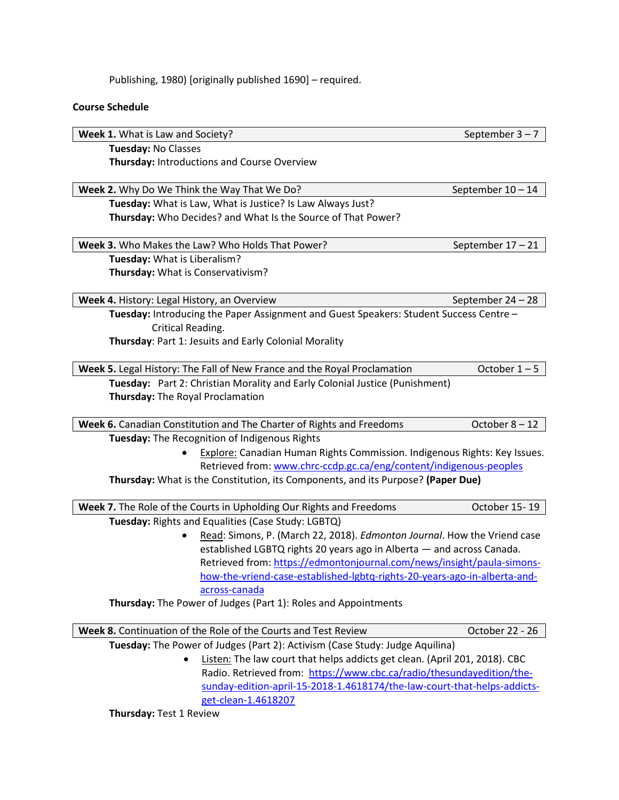Publishing, 1980) [originally published 1690] – required.

### **Course Schedule**

**Week 1.** What is Law and Society? September 3 – 7 **Tuesday:** No Classes **Thursday:** Introductions and Course Overview **Week 2.** Why Do We Think the Way That We Do? September 10 – 14 **Tuesday:** What is Law, What is Justice? Is Law Always Just? **Thursday:** Who Decides? and What Is the Source of That Power? **Week 3.** Who Makes the Law? Who Holds That Power? **September 17 – 21 Tuesday:** What is Liberalism? **Thursday:** What is Conservativism? **Week 4.** History: Legal History, an OverviewSeptember 24 – 28 **Tuesday:** Introducing the Paper Assignment and Guest Speakers: Student Success Centre – Critical Reading. **Thursday**: Part 1: Jesuits and Early Colonial Morality **Week 5.** Legal History: The Fall of New France and the Royal Proclamation **October 1** – 5 **Tuesday:** Part 2: Christian Morality and Early Colonial Justice (Punishment) **Thursday:** The Royal Proclamation **Week 6.** Canadian Constitution and The Charter of Rights and Freedoms **COLOGIC 8 - 12 Tuesday:** The Recognition of Indigenous Rights • Explore: Canadian Human Rights Commission. Indigenous Rights: Key Issues. Retrieved from: [www.chrc-ccdp.gc.ca/eng/content/indigenous-peoples](http://www.chrc-ccdp.gc.ca/eng/content/indigenous-peoples) **Thursday:** What is the Constitution, its Components, and its Purpose? **(Paper Due) Week 7.** The Role of the Courts in Upholding Our Rights and Freedoms October 15-19 **Tuesday:** Rights and Equalities (Case Study: LGBTQ) • Read: Simons, P. (March 22, 2018). *Edmonton Journal*. How the Vriend case established LGBTQ rights 20 years ago in Alberta — and across Canada. Retrieved from: [https://edmontonjournal.com/news/insight/paula-simons](https://edmontonjournal.com/news/insight/paula-simons-how-the-vriend-case-established-lgbtq-rights-20-years-ago-in-alberta-and-across-canada)[how-the-vriend-case-established-lgbtq-rights-20-years-ago-in-alberta-and](https://edmontonjournal.com/news/insight/paula-simons-how-the-vriend-case-established-lgbtq-rights-20-years-ago-in-alberta-and-across-canada)[across-canada](https://edmontonjournal.com/news/insight/paula-simons-how-the-vriend-case-established-lgbtq-rights-20-years-ago-in-alberta-and-across-canada) **Thursday:** The Power of Judges (Part 1): Roles and Appointments

**Week 8.** Continuation of the Role of the Courts and Test Review **COLL 20 10 100 COLL 20 100 100 NO**ctober 22 - 26 **Tuesday:** The Power of Judges (Part 2): Activism (Case Study: Judge Aquilina) Listen: The law court that helps addicts get clean. (April 201, 2018). CBC Radio. Retrieved from: [https://www.cbc.ca/radio/thesundayedition/the](https://www.cbc.ca/radio/thesundayedition/the-sunday-edition-april-15-2018-1.4618174/the-law-court-that-helps-addicts-get-clean-1.4618207)[sunday-edition-april-15-2018-1.4618174/the-law-court-that-helps-addicts](https://www.cbc.ca/radio/thesundayedition/the-sunday-edition-april-15-2018-1.4618174/the-law-court-that-helps-addicts-get-clean-1.4618207)[get-clean-1.4618207](https://www.cbc.ca/radio/thesundayedition/the-sunday-edition-april-15-2018-1.4618174/the-law-court-that-helps-addicts-get-clean-1.4618207) **Thursday:** Test 1 Review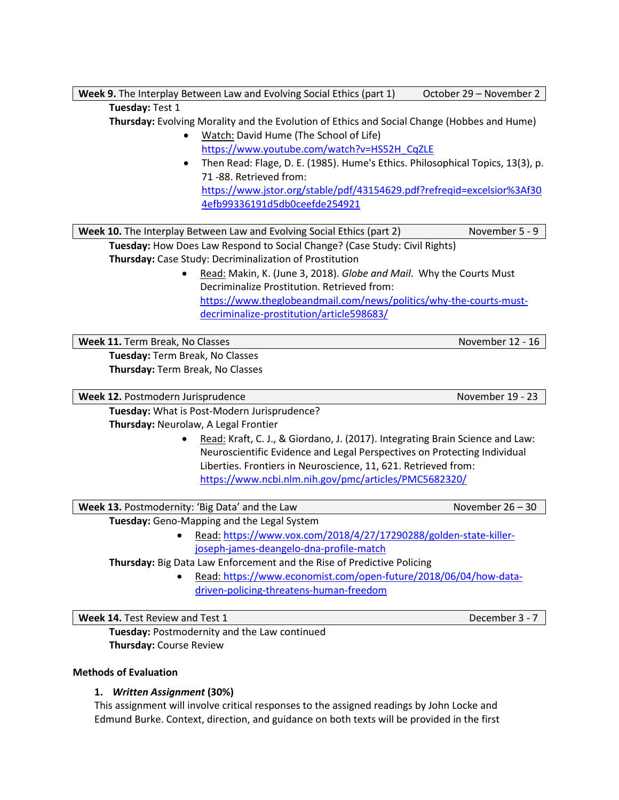| <b>Week 9.</b> The Interplay Between Law and Evolving Social Ethics (part 1) | October 29 – November 2 |
|------------------------------------------------------------------------------|-------------------------|
|                                                                              |                         |

### **Tuesday:** Test 1

**Thursday:** Evolving Morality and the Evolution of Ethics and Social Change (Hobbes and Hume)

- Watch: David Hume (The School of Life) [https://www.youtube.com/watch?v=HS52H\\_CqZLE](https://www.youtube.com/watch?v=HS52H_CqZLE)
- Then Read: Flage, D. E. (1985). Hume's Ethics. Philosophical Topics, 13(3), p. 71 -88. Retrieved from: [https://www.jstor.org/stable/pdf/43154629.pdf?refreqid=excelsior%3Af30](https://www.jstor.org/stable/pdf/43154629.pdf?refreqid=excelsior%3Af304efb99336191d5db0ceefde254921) [4efb99336191d5db0ceefde254921](https://www.jstor.org/stable/pdf/43154629.pdf?refreqid=excelsior%3Af304efb99336191d5db0ceefde254921)

**Week 10.** The Interplay Between Law and Evolving Social Ethics (part 2) November 5 - 9 **Tuesday:** How Does Law Respond to Social Change? (Case Study: Civil Rights)

**Thursday:** Case Study: Decriminalization of Prostitution

• Read: Makin, K. (June 3, 2018). *Globe and Mail*. Why the Courts Must Decriminalize Prostitution. Retrieved from: [https://www.theglobeandmail.com/news/politics/why-the-courts-must](https://www.theglobeandmail.com/news/politics/why-the-courts-must-decriminalize-prostitution/article598683/)[decriminalize-prostitution/article598683/](https://www.theglobeandmail.com/news/politics/why-the-courts-must-decriminalize-prostitution/article598683/)

**Week 11.** Term Break, No Classes November 12 - 16

**Tuesday:** Term Break, No Classes **Thursday:** Term Break, No Classes

**Week 12.** Postmodern Jurisprudence November 19 - 23

**Tuesday:** What is Post-Modern Jurisprudence?

**Thursday:** Neurolaw, A Legal Frontier

• Read: Kraft, C. J., & Giordano, J. (2017). Integrating Brain Science and Law: Neuroscientific Evidence and Legal Perspectives on Protecting Individual Liberties. Frontiers in Neuroscience, 11, 621. Retrieved from: <https://www.ncbi.nlm.nih.gov/pmc/articles/PMC5682320/>

**Week 13.** Postmodernity: 'Big Data' and the Law November 26 – 30

**Tuesday:** Geno-Mapping and the Legal System

• Read: [https://www.vox.com/2018/4/27/17290288/golden-state-killer](https://www.vox.com/2018/4/27/17290288/golden-state-killer-joseph-james-deangelo-dna-profile-match)[joseph-james-deangelo-dna-profile-match](https://www.vox.com/2018/4/27/17290288/golden-state-killer-joseph-james-deangelo-dna-profile-match)

**Thursday:** Big Data Law Enforcement and the Rise of Predictive Policing

• Read: [https://www.economist.com/open-future/2018/06/04/how-data](https://www.economist.com/open-future/2018/06/04/how-data-driven-policing-threatens-human-freedom)[driven-policing-threatens-human-freedom](https://www.economist.com/open-future/2018/06/04/how-data-driven-policing-threatens-human-freedom)

**Week 14.** Test Review and Test 1 December 3 - 7

**Tuesday:** Postmodernity and the Law continued **Thursday:** Course Review

## **Methods of Evaluation**

# **1.** *Written Assignment* **(30%)**

This assignment will involve critical responses to the assigned readings by John Locke and Edmund Burke. Context, direction, and guidance on both texts will be provided in the first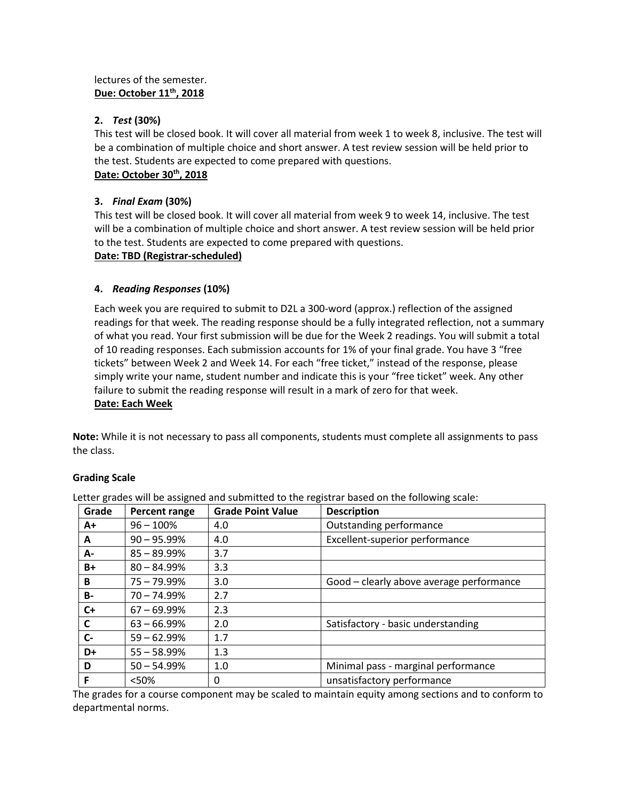# lectures of the semester. **Due: October 11th, 2018**

## **2.** *Test* **(30%)**

This test will be closed book. It will cover all material from week 1 to week 8, inclusive. The test will be a combination of multiple choice and short answer. A test review session will be held prior to the test. Students are expected to come prepared with questions.

# **Date: October 30th, 2018**

# **3.** *Final Exam* **(30%)**

This test will be closed book. It will cover all material from week 9 to week 14, inclusive. The test will be a combination of multiple choice and short answer. A test review session will be held prior to the test. Students are expected to come prepared with questions.

## **Date: TBD (Registrar-scheduled)**

# **4.** *Reading Responses* **(10%)**

Each week you are required to submit to D2L a 300-word (approx.) reflection of the assigned readings for that week. The reading response should be a fully integrated reflection, not a summary of what you read. Your first submission will be due for the Week 2 readings. You will submit a total of 10 reading responses. Each submission accounts for 1% of your final grade. You have 3 "free tickets" between Week 2 and Week 14. For each "free ticket," instead of the response, please simply write your name, student number and indicate this is your "free ticket" week. Any other failure to submit the reading response will result in a mark of zero for that week. **Date: Each Week**

**Note:** While it is not necessary to pass all components, students must complete all assignments to pass the class.

# **Grading Scale**

| Grade     | <b>Percent range</b> | <b>Grade Point Value</b> | <b>Description</b>                       |
|-----------|----------------------|--------------------------|------------------------------------------|
| A+        | $96 - 100%$          | 4.0                      | Outstanding performance                  |
| A         | $90 - 95.99\%$       | 4.0                      | Excellent-superior performance           |
| A-        | $85 - 89.99\%$       | 3.7                      |                                          |
| B+        | $80 - 84.99%$        | 3.3                      |                                          |
| B         | $75 - 79.99\%$       | 3.0                      | Good - clearly above average performance |
| <b>B-</b> | $70 - 74.99\%$       | 2.7                      |                                          |
| $C+$      | $67 - 69.99\%$       | 2.3                      |                                          |
| C         | $63 - 66.99\%$       | 2.0                      | Satisfactory - basic understanding       |
| $C -$     | $59 - 62.99\%$       | 1.7                      |                                          |
| D+        | $55 - 58.99%$        | 1.3                      |                                          |
| D         | $50 - 54.99%$        | 1.0                      | Minimal pass - marginal performance      |
| F         | < 50%                | 0                        | unsatisfactory performance               |

Letter grades will be assigned and submitted to the registrar based on the following scale:

The grades for a course component may be scaled to maintain equity among sections and to conform to departmental norms.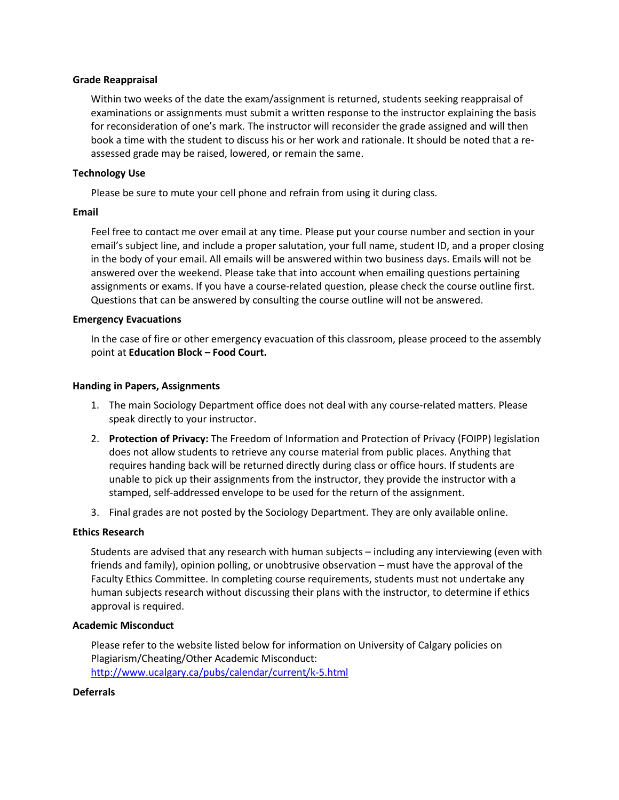### **Grade Reappraisal**

Within two weeks of the date the exam/assignment is returned, students seeking reappraisal of examinations or assignments must submit a written response to the instructor explaining the basis for reconsideration of one's mark. The instructor will reconsider the grade assigned and will then book a time with the student to discuss his or her work and rationale. It should be noted that a reassessed grade may be raised, lowered, or remain the same.

## **Technology Use**

Please be sure to mute your cell phone and refrain from using it during class.

### **Email**

Feel free to contact me over email at any time. Please put your course number and section in your email's subject line, and include a proper salutation, your full name, student ID, and a proper closing in the body of your email. All emails will be answered within two business days. Emails will not be answered over the weekend. Please take that into account when emailing questions pertaining assignments or exams. If you have a course-related question, please check the course outline first. Questions that can be answered by consulting the course outline will not be answered.

### **Emergency Evacuations**

In the case of fire or other emergency evacuation of this classroom, please proceed to the assembly point at **Education Block – Food Court.**

### **Handing in Papers, Assignments**

- 1. The main Sociology Department office does not deal with any course-related matters. Please speak directly to your instructor.
- 2. **Protection of Privacy:** The Freedom of Information and Protection of Privacy (FOIPP) legislation does not allow students to retrieve any course material from public places. Anything that requires handing back will be returned directly during class or office hours. If students are unable to pick up their assignments from the instructor, they provide the instructor with a stamped, self-addressed envelope to be used for the return of the assignment.
- 3. Final grades are not posted by the Sociology Department. They are only available online.

#### **Ethics Research**

Students are advised that any research with human subjects – including any interviewing (even with friends and family), opinion polling, or unobtrusive observation – must have the approval of the Faculty Ethics Committee. In completing course requirements, students must not undertake any human subjects research without discussing their plans with the instructor, to determine if ethics approval is required.

#### **Academic Misconduct**

Please refer to the website listed below for information on University of Calgary policies on Plagiarism/Cheating/Other Academic Misconduct: <http://www.ucalgary.ca/pubs/calendar/current/k-5.html>

#### **Deferrals**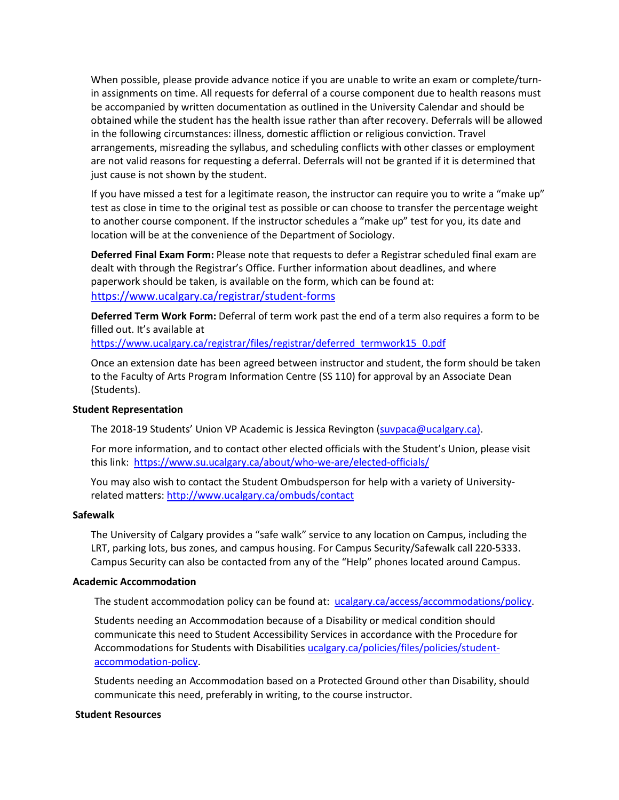When possible, please provide advance notice if you are unable to write an exam or complete/turnin assignments on time. All requests for deferral of a course component due to health reasons must be accompanied by written documentation as outlined in the University Calendar and should be obtained while the student has the health issue rather than after recovery. Deferrals will be allowed in the following circumstances: illness, domestic affliction or religious conviction. Travel arrangements, misreading the syllabus, and scheduling conflicts with other classes or employment are not valid reasons for requesting a deferral. Deferrals will not be granted if it is determined that just cause is not shown by the student.

If you have missed a test for a legitimate reason, the instructor can require you to write a "make up" test as close in time to the original test as possible or can choose to transfer the percentage weight to another course component. If the instructor schedules a "make up" test for you, its date and location will be at the convenience of the Department of Sociology.

**Deferred Final Exam Form:** Please note that requests to defer a Registrar scheduled final exam are dealt with through the Registrar's Office. Further information about deadlines, and where paperwork should be taken, is available on the form, which can be found at: <https://www.ucalgary.ca/registrar/student-forms>

**Deferred Term Work Form:** Deferral of term work past the end of a term also requires a form to be filled out. It's available at

[https://www.ucalgary.ca/registrar/files/registrar/deferred\\_termwork15\\_0.pdf](https://www.ucalgary.ca/registrar/files/registrar/deferred_termwork15_0.pdf) 

Once an extension date has been agreed between instructor and student, the form should be taken to the Faculty of Arts Program Information Centre (SS 110) for approval by an Associate Dean (Students).

#### **Student Representation**

The 2018-19 Students' Union VP Academic is Jessica Revington [\(suvpaca@ucalgary.ca\)](mailto:suvpaca@ucalgary.ca).

For more information, and to contact other elected officials with the Student's Union, please visit this link:<https://www.su.ucalgary.ca/about/who-we-are/elected-officials/>

You may also wish to contact the Student Ombudsperson for help with a variety of Universityrelated matters:<http://www.ucalgary.ca/ombuds/contact>

#### **Safewalk**

The University of Calgary provides a "safe walk" service to any location on Campus, including the LRT, parking lots, bus zones, and campus housing. For Campus Security/Safewalk call 220-5333. Campus Security can also be contacted from any of the "Help" phones located around Campus.

#### **Academic Accommodation**

The student accommodation policy can be found at: [ucalgary.ca/access/accommodations/policy.](http://www.ucalgary.ca/access/accommodations/policy)

Students needing an Accommodation because of a Disability or medical condition should communicate this need to Student Accessibility Services in accordance with the Procedure for Accommodations for Students with Disabilities [ucalgary.ca/policies/files/policies/student](http://www.ucalgary.ca/policies/files/policies/student-accommodation-policy.pdf)[accommodation-policy.](http://www.ucalgary.ca/policies/files/policies/student-accommodation-policy.pdf)

Students needing an Accommodation based on a Protected Ground other than Disability, should communicate this need, preferably in writing, to the course instructor.

#### **Student Resources**